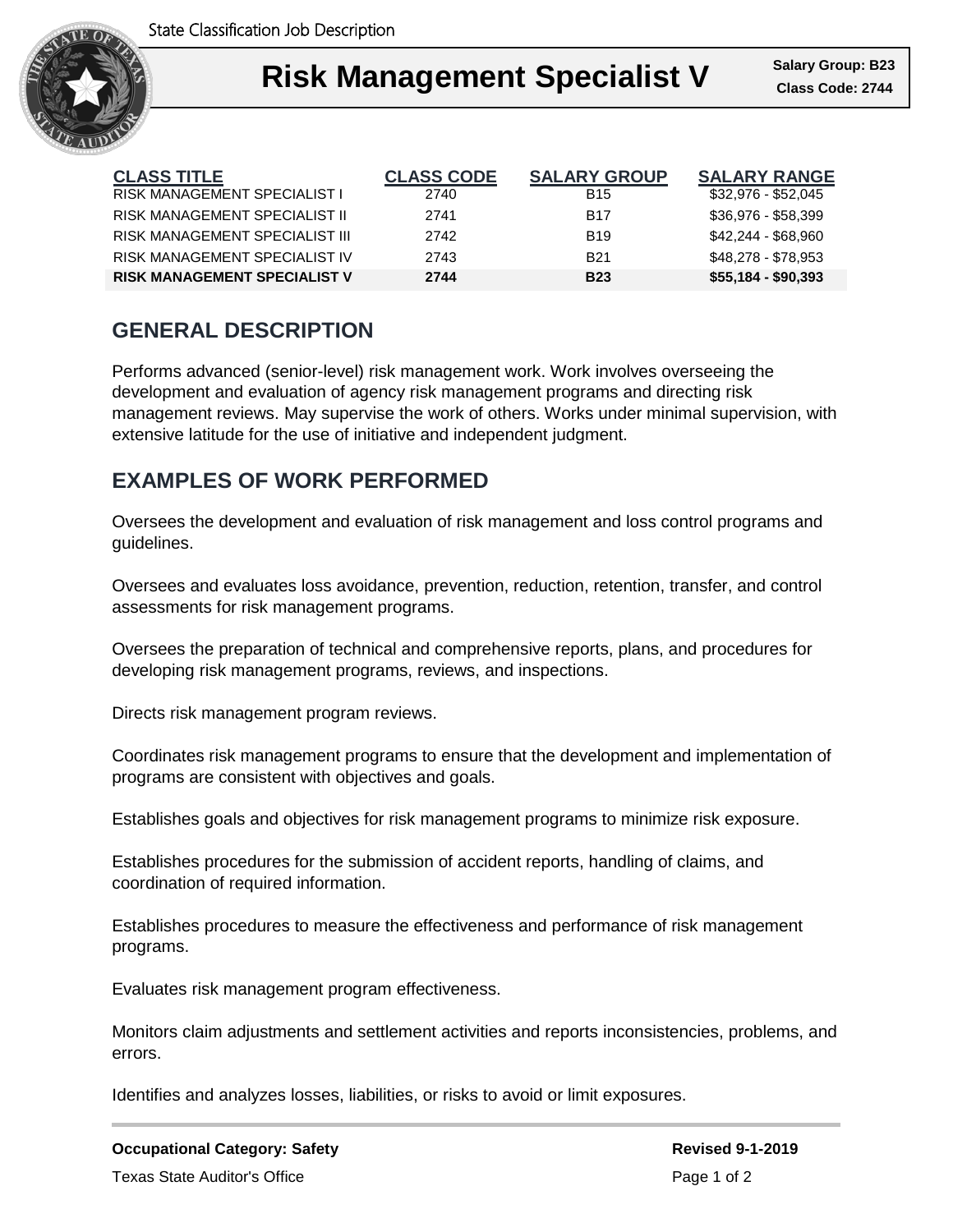

#### **Right Management Salary Group** Ι **Risk Management Specialist V Class Code: 2744**

| <b>CLASS TITLE</b>                  | <b>CLASS CODE</b> | <b>SALARY GROUP</b> | <b>SALARY RANGE</b> |
|-------------------------------------|-------------------|---------------------|---------------------|
| <b>RISK MANAGEMENT SPECIALIST I</b> | 2740              | <b>B15</b>          | \$32,976 - \$52,045 |
| RISK MANAGEMENT SPECIALIST II       | 2741              | <b>B17</b>          | \$36,976 - \$58,399 |
| RISK MANAGEMENT SPECIALIST III      | 2742              | <b>B19</b>          | \$42,244 - \$68,960 |
| RISK MANAGEMENT SPECIALIST IV       | 2743              | <b>B21</b>          | \$48,278 - \$78,953 |
| <b>RISK MANAGEMENT SPECIALIST V</b> | 2744              | <b>B23</b>          | $$55,184 - $90,393$ |

# **GENERAL DESCRIPTION**

Performs advanced (senior-level) risk management work. Work involves overseeing the development and evaluation of agency risk management programs and directing risk management reviews. May supervise the work of others. Works under minimal supervision, with extensive latitude for the use of initiative and independent judgment.

# **EXAMPLES OF WORK PERFORMED**

Oversees the development and evaluation of risk management and loss control programs and guidelines.

Oversees and evaluates loss avoidance, prevention, reduction, retention, transfer, and control assessments for risk management programs.

Oversees the preparation of technical and comprehensive reports, plans, and procedures for developing risk management programs, reviews, and inspections.

Directs risk management program reviews.

Coordinates risk management programs to ensure that the development and implementation of programs are consistent with objectives and goals.

Establishes goals and objectives for risk management programs to minimize risk exposure.

Establishes procedures for the submission of accident reports, handling of claims, and coordination of required information.

Establishes procedures to measure the effectiveness and performance of risk management programs.

Evaluates risk management program effectiveness.

Monitors claim adjustments and settlement activities and reports inconsistencies, problems, and errors.

Identifies and analyzes losses, liabilities, or risks to avoid or limit exposures.